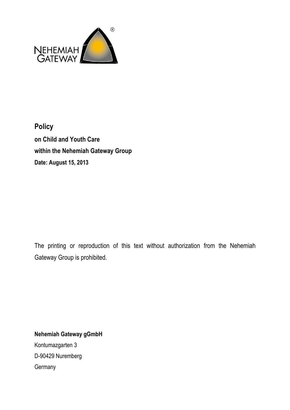

# **Policy on Child and Youth Care within the Nehemiah Gateway Group Date: August 15, 2013**

The printing or reproduction of this text without authorization from the Nehemiah Gateway Group is prohibited.

**Nehemiah Gateway gGmbH**  Kontumazgarten 3 D-90429 Nuremberg **Germany**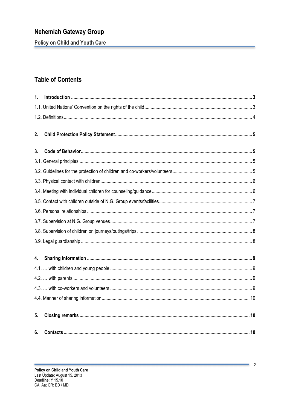**Policy on Child and Youth Care** 

## **Table of Contents**

| $\mathbf{1}$ . |  |
|----------------|--|
|                |  |
|                |  |
| 2.             |  |
| 3.             |  |
|                |  |
|                |  |
|                |  |
|                |  |
|                |  |
|                |  |
|                |  |
|                |  |
|                |  |
| 4.             |  |
|                |  |
|                |  |
|                |  |
|                |  |
| 5.             |  |
| 6.             |  |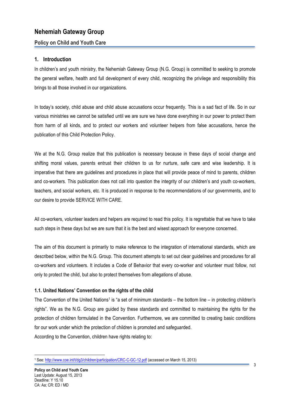#### **Policy on Child and Youth Care**

#### **1. Introduction**

In children's and youth ministry, the Nehemiah Gateway Group (N.G. Group) is committed to seeking to promote the general welfare, health and full development of every child, recognizing the privilege and responsibility this brings to all those involved in our organizations.

In today's society, child abuse and child abuse accusations occur frequently. This is a sad fact of life. So in our various ministries we cannot be satisfied until we are sure we have done everything in our power to protect them from harm of all kinds, and to protect our workers and volunteer helpers from false accusations, hence the publication of this Child Protection Policy.

We at the N.G. Group realize that this publication is necessary because in these days of social change and shifting moral values, parents entrust their children to us for nurture, safe care and wise leadership. It is imperative that there are guidelines and procedures in place that will provide peace of mind to parents, children and co-workers. This publication does not call into question the integrity of our children's and youth co-workers, teachers, and social workers, etc. It is produced in response to the recommendations of our governments, and to our desire to provide SERVICE WITH CARE.

All co-workers, volunteer leaders and helpers are required to read this policy. It is regrettable that we have to take such steps in these days but we are sure that it is the best and wisest approach for everyone concerned.

The aim of this document is primarily to make reference to the integration of international standards, which are described below, within the N.G. Group. This document attempts to set out clear guidelines and procedures for all co-workers and volunteers. It includes a Code of Behavior that every co-worker and volunteer must follow, not only to protect the child, but also to protect themselves from allegations of abuse.

#### **1.1. United Nations' Convention on the rights of the child**

The Convention of the United Nations<sup>1</sup> is "a set of minimum standards – the bottom line – in protecting children's rights". We as the N.G. Group are guided by these standards and committed to maintaining the rights for the protection of children formulated in the Convention. Furthermore, we are committed to creating basic conditions for our work under which the protection of children is promoted and safeguarded.

According to the Convention, children have rights relating to:

 $\overline{a}$ <sup>1</sup> See: http://www.coe.int/t/dg3/children/participation/CRC-C-GC-12.pdf (accessed on March 15, 2013)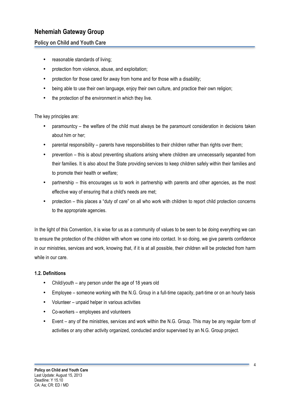#### **Policy on Child and Youth Care**

- reasonable standards of living;
- protection from violence, abuse, and exploitation;
- protection for those cared for away from home and for those with a disability;
- being able to use their own language, enjoy their own culture, and practice their own religion;
- the protection of the environment in which they live.

The key principles are:

- paramountcy the welfare of the child must always be the paramount consideration in decisions taken about him or her;
- parental responsibility parents have responsibilities to their children rather than rights over them;
- prevention this is about preventing situations arising where children are unnecessarily separated from their families. It is also about the State providing services to keep children safely within their families and to promote their health or welfare;
- partnership this encourages us to work in partnership with parents and other agencies, as the most effective way of ensuring that a child's needs are met;
- protection this places a "duty of care" on all who work with children to report child protection concerns to the appropriate agencies.

In the light of this Convention, it is wise for us as a community of values to be seen to be doing everything we can to ensure the protection of the children with whom we come into contact. In so doing, we give parents confidence in our ministries, services and work, knowing that, if it is at all possible, their children will be protected from harm while in our care.

#### **1.2. Definitions**

- Child/youth any person under the age of 18 years old
- Employee someone working with the N.G. Group in a full-time capacity, part-time or on an hourly basis
- Volunteer unpaid helper in various activities
- Co-workers employees and volunteers
- Event any of the ministries, services and work within the N.G. Group. This may be any regular form of activities or any other activity organized, conducted and/or supervised by an N.G. Group project.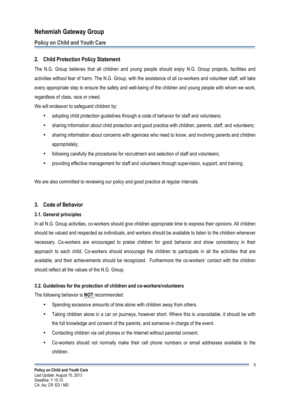### **Policy on Child and Youth Care**

### **2. Child Protection Policy Statement**

The N.G. Group believes that all children and young people should enjoy N.G. Group projects, facilities and activities without fear of harm. The N.G. Group, with the assistance of all co-workers and volunteer staff, will take every appropriate step to ensure the safety and well-being of the children and young people with whom we work, regardless of class, race or creed.

We will endeavor to safeguard children by:

- adopting child protection guidelines through a code of behavior for staff and volunteers;
- sharing information about child protection and good practice with children, parents, staff, and volunteers;
- sharing information about concerns with agencies who need to know, and involving parents and children appropriately;
- following carefully the procedures for recruitment and selection of staff and volunteers;
- providing effective management for staff and volunteers through supervision, support, and training.

We are also committed to reviewing our policy and good practice at regular intervals.

#### **3. Code of Behavior**

#### **3.1. General principles**

In all N.G. Group activities, co-workers should give children appropriate time to express their opinions. All children should be valued and respected as individuals, and workers should be available to listen to the children whenever necessary. Co-workers are encouraged to praise children for good behavior and show consistency in their approach to each child. Co-workers should encourage the children to participate in all the activities that are available, and their achievements should be recognized. Furthermore the co-workers' contact with the children should reflect all the values of the N.G. Group.

#### **3.2. Guidelines for the protection of children and co-workers/volunteers**

The following behavior is **NOT** recommended:

- Spending excessive amounts of time alone with children away from others.
- Taking children alone in a car on journeys, however short. Where this is unavoidable, it should be with the full knowledge and consent of the parents, and someone in charge of the event.
- Contacting children via cell phones or the Internet without parental consent.
- Co-workers should not normally make their cell phone numbers or email addresses available to the children.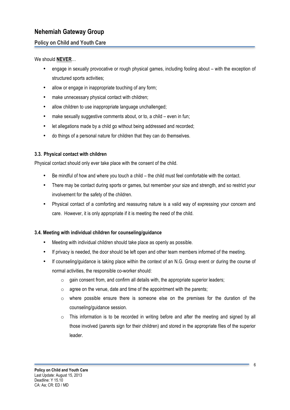### **Policy on Child and Youth Care**

#### We should **NEVER**…

- engage in sexually provocative or rough physical games, including fooling about with the exception of structured sports activities;
- allow or engage in inappropriate touching of any form;
- make unnecessary physical contact with children;
- allow children to use inappropriate language unchallenged;
- make sexually suggestive comments about, or to, a child even in fun;
- let allegations made by a child go without being addressed and recorded;
- do things of a personal nature for children that they can do themselves.

#### **3.3. Physical contact with children**

Physical contact should only ever take place with the consent of the child.

- Be mindful of how and where you touch a child the child must feel comfortable with the contact.
- There may be contact during sports or games, but remember your size and strength, and so restrict your involvement for the safety of the children.
- Physical contact of a comforting and reassuring nature is a valid way of expressing your concern and care. However, it is only appropriate if it is meeting the need of the child.

#### **3.4. Meeting with individual children for counseling/guidance**

- Meeting with individual children should take place as openly as possible.
- If privacy is needed, the door should be left open and other team members informed of the meeting.
- If counseling/guidance is taking place within the context of an N.G. Group event or during the course of normal activities, the responsible co-worker should:
	- $\circ$  gain consent from, and confirm all details with, the appropriate superior leaders;
	- $\circ$  agree on the venue, date and time of the appointment with the parents;
	- $\circ$  where possible ensure there is someone else on the premises for the duration of the counseling/guidance session.
	- $\circ$  This information is to be recorded in writing before and after the meeting and signed by all those involved (parents sign for their children) and stored in the appropriate files of the superior leader.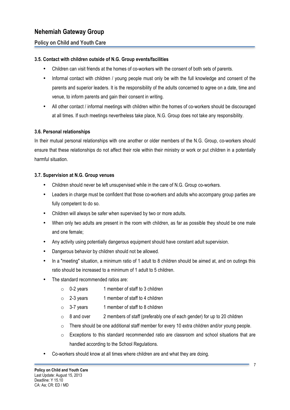#### **Policy on Child and Youth Care**

#### **3.5. Contact with children outside of N.G. Group events/facilities**

- Children can visit friends at the homes of co-workers with the consent of both sets of parents.
- Informal contact with children / young people must only be with the full knowledge and consent of the parents and superior leaders. It is the responsibility of the adults concerned to agree on a date, time and venue, to inform parents and gain their consent in writing.
- All other contact / informal meetings with children within the homes of co-workers should be discouraged at all times. If such meetings nevertheless take place, N.G. Group does not take any responsibility.

#### **3.6. Personal relationships**

In their mutual personal relationships with one another or older members of the N.G. Group, co-workers should ensure that these relationships do not affect their role within their ministry or work or put children in a potentially harmful situation.

#### **3.7. Supervision at N.G. Group venues**

- Children should never be left unsupervised while in the care of N.G. Group co-workers.
- Leaders in charge must be confident that those co-workers and adults who accompany group parties are fully competent to do so.
- Children will always be safer when supervised by two or more adults.
- When only two adults are present in the room with children, as far as possible they should be one male and one female;
- Any activity using potentially dangerous equipment should have constant adult supervision.
- Dangerous behavior by children should not be allowed.
- In a "meeting" situation, a minimum ratio of 1 adult to 8 children should be aimed at, and on outings this ratio should be increased to a minimum of 1 adult to 5 children.
- The standard recommended ratios are:
	- o 0-2 years 1 member of staff to 3 children
	- $\circ$  2-3 years 1 member of staff to 4 children
	- $\circ$  3-7 years 1 member of staff to 8 children
	- $\circ$  8 and over 2 members of staff (preferably one of each gender) for up to 20 children
	- $\circ$  There should be one additional staff member for every 10 extra children and/or young people.
	- $\circ$  Exceptions to this standard recommended ratio are classroom and school situations that are handled according to the School Regulations.
- Co-workers should know at all times where children are and what they are doing.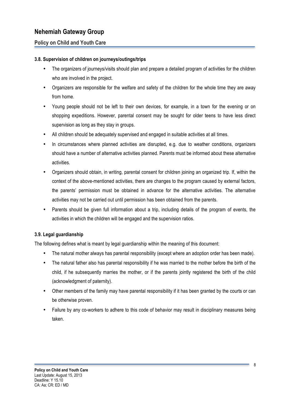#### **Policy on Child and Youth Care**

#### **3.8. Supervision of children on journeys/outings/trips**

- The organizers of journeys/visits should plan and prepare a detailed program of activities for the children who are involved in the project.
- Organizers are responsible for the welfare and safety of the children for the whole time they are away from home.
- Young people should not be left to their own devices, for example, in a town for the evening or on shopping expeditions. However, parental consent may be sought for older teens to have less direct supervision as long as they stay in groups.
- All children should be adequately supervised and engaged in suitable activities at all times.
- In circumstances where planned activities are disrupted, e.g. due to weather conditions, organizers should have a number of alternative activities planned. Parents must be informed about these alternative activities.
- Organizers should obtain, in writing, parental consent for children joining an organized trip. If, within the context of the above-mentioned activities, there are changes to the program caused by external factors, the parents' permission must be obtained in advance for the alternative activities. The alternative activities may not be carried out until permission has been obtained from the parents.
- Parents should be given full information about a trip, including details of the program of events, the activities in which the children will be engaged and the supervision ratios.

#### **3.9. Legal guardianship**

The following defines what is meant by legal guardianship within the meaning of this document:

- The natural mother always has parental responsibility (except where an adoption order has been made).
- The natural father also has parental responsibility if he was married to the mother before the birth of the child, if he subsequently marries the mother, or if the parents jointly registered the birth of the child (acknowledgment of paternity).
- Other members of the family may have parental responsibility if it has been granted by the courts or can be otherwise proven.
- Failure by any co-workers to adhere to this code of behavior may result in disciplinary measures being taken.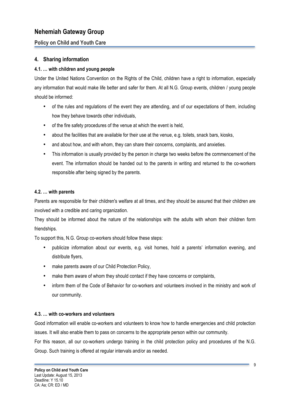### **Policy on Child and Youth Care**

#### **4. Sharing information**

#### **4.1. … with children and young people**

Under the United Nations Convention on the Rights of the Child, children have a right to information, especially any information that would make life better and safer for them. At all N.G. Group events, children / young people should be informed:

- of the rules and regulations of the event they are attending, and of our expectations of them, including how they behave towards other individuals,
- of the fire safety procedures of the venue at which the event is held,
- about the facilities that are available for their use at the venue, e.g. toilets, snack bars, kiosks,
- and about how, and with whom, they can share their concerns, complaints, and anxieties.
- This information is usually provided by the person in charge two weeks before the commencement of the event. The information should be handed out to the parents in writing and returned to the co-workers responsible after being signed by the parents.

#### **4.2. … with parents**

Parents are responsible for their children's welfare at all times, and they should be assured that their children are involved with a credible and caring organization.

They should be informed about the nature of the relationships with the adults with whom their children form friendships.

To support this, N.G. Group co-workers should follow these steps:

- publicize information about our events, e.g. visit homes, hold a parents' information evening, and distribute flyers,
- make parents aware of our Child Protection Policy,
- make them aware of whom they should contact if they have concerns or complaints,
- inform them of the Code of Behavior for co-workers and volunteers involved in the ministry and work of our community.

#### **4.3. … with co-workers and volunteers**

Good information will enable co-workers and volunteers to know how to handle emergencies and child protection issues. It will also enable them to pass on concerns to the appropriate person within our community.

For this reason, all our co-workers undergo training in the child protection policy and procedures of the N.G. Group. Such training is offered at regular intervals and/or as needed.